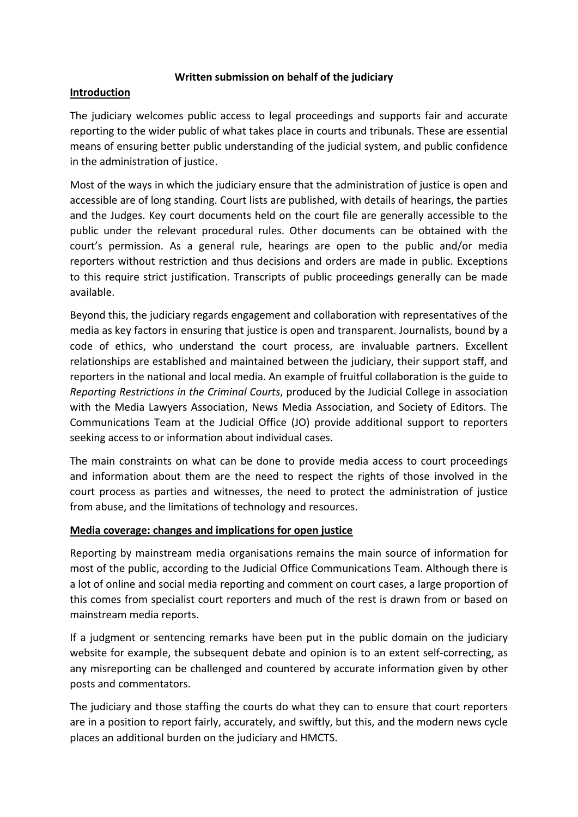## **Written submission on behalf of the judiciary**

## **Introduction**

The judiciary welcomes public access to legal proceedings and supports fair and accurate reporting to the wider public of what takes place in courts and tribunals. These are essential means of ensuring better public understanding of the judicial system, and public confidence in the administration of justice.

Most of the ways in which the judiciary ensure that the administration of justice is open and accessible are of long standing. Court lists are published, with details of hearings, the parties and the Judges. Key court documents held on the court file are generally accessible to the public under the relevant procedural rules. Other documents can be obtained with the court's permission. As a general rule, hearings are open to the public and/or media reporters without restriction and thus decisions and orders are made in public. Exceptions to this require strict justification. Transcripts of public proceedings generally can be made available.

Beyond this, the judiciary regards engagement and collaboration with representatives of the media as key factors in ensuring that justice is open and transparent. Journalists, bound by a code of ethics, who understand the court process, are invaluable partners. Excellent relationships are established and maintained between the judiciary, their support staff, and reporters in the national and local media. An example of fruitful collaboration is the guide to *Reporting Restrictions in the Criminal Courts*, produced by the Judicial College in association with the Media Lawyers Association, News Media Association, and Society of Editors. The Communications Team at the Judicial Office (JO) provide additional support to reporters seeking access to or information about individual cases.

The main constraints on what can be done to provide media access to court proceedings and information about them are the need to respect the rights of those involved in the court process as parties and witnesses, the need to protect the administration of justice from abuse, and the limitations of technology and resources.

# **Media coverage: changes and implications for open justice**

Reporting by mainstream media organisations remains the main source of information for most of the public, according to the Judicial Office Communications Team. Although there is a lot of online and social media reporting and comment on court cases, a large proportion of this comes from specialist court reporters and much of the rest is drawn from or based on mainstream media reports.

If a judgment or sentencing remarks have been put in the public domain on the judiciary website for example, the subsequent debate and opinion is to an extent self-correcting, as any misreporting can be challenged and countered by accurate information given by other posts and commentators.

The judiciary and those staffing the courts do what they can to ensure that court reporters are in a position to report fairly, accurately, and swiftly, but this, and the modern news cycle places an additional burden on the judiciary and HMCTS.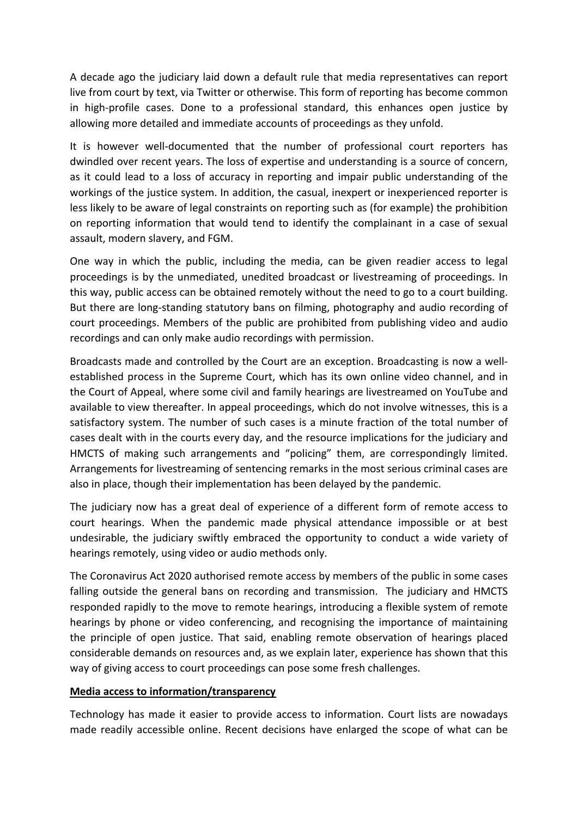A decade ago the judiciary laid down a default rule that media representatives can report live from court by text, via Twitter or otherwise. This form of reporting has become common in high-profile cases. Done to a professional standard, this enhances open justice by allowing more detailed and immediate accounts of proceedings as they unfold.

It is however well-documented that the number of professional court reporters has dwindled over recent years. The loss of expertise and understanding is a source of concern, as it could lead to a loss of accuracy in reporting and impair public understanding of the workings of the justice system. In addition, the casual, inexpert or inexperienced reporter is less likely to be aware of legal constraints on reporting such as (for example) the prohibition on reporting information that would tend to identify the complainant in a case of sexual assault, modern slavery, and FGM.

One way in which the public, including the media, can be given readier access to legal proceedings is by the unmediated, unedited broadcast or livestreaming of proceedings. In this way, public access can be obtained remotely without the need to go to a court building. But there are long-standing statutory bans on filming, photography and audio recording of court proceedings. Members of the public are prohibited from publishing video and audio recordings and can only make audio recordings with permission.

Broadcasts made and controlled by the Court are an exception. Broadcasting is now a wellestablished process in the Supreme Court, which has its own online video channel, and in the Court of Appeal, where some civil and family hearings are livestreamed on YouTube and available to view thereafter. In appeal proceedings, which do not involve witnesses, this is a satisfactory system. The number of such cases is a minute fraction of the total number of cases dealt with in the courts every day, and the resource implications for the judiciary and HMCTS of making such arrangements and "policing" them, are correspondingly limited. Arrangements for livestreaming of sentencing remarks in the most serious criminal cases are also in place, though their implementation has been delayed by the pandemic.

The judiciary now has a great deal of experience of a different form of remote access to court hearings. When the pandemic made physical attendance impossible or at best undesirable, the judiciary swiftly embraced the opportunity to conduct a wide variety of hearings remotely, using video or audio methods only.

The Coronavirus Act 2020 authorised remote access by members of the public in some cases falling outside the general bans on recording and transmission. The judiciary and HMCTS responded rapidly to the move to remote hearings, introducing a flexible system of remote hearings by phone or video conferencing, and recognising the importance of maintaining the principle of open justice. That said, enabling remote observation of hearings placed considerable demands on resources and, as we explain later, experience has shown that this way of giving access to court proceedings can pose some fresh challenges.

### **Media access to information/transparency**

Technology has made it easier to provide access to information. Court lists are nowadays made readily accessible online. Recent decisions have enlarged the scope of what can be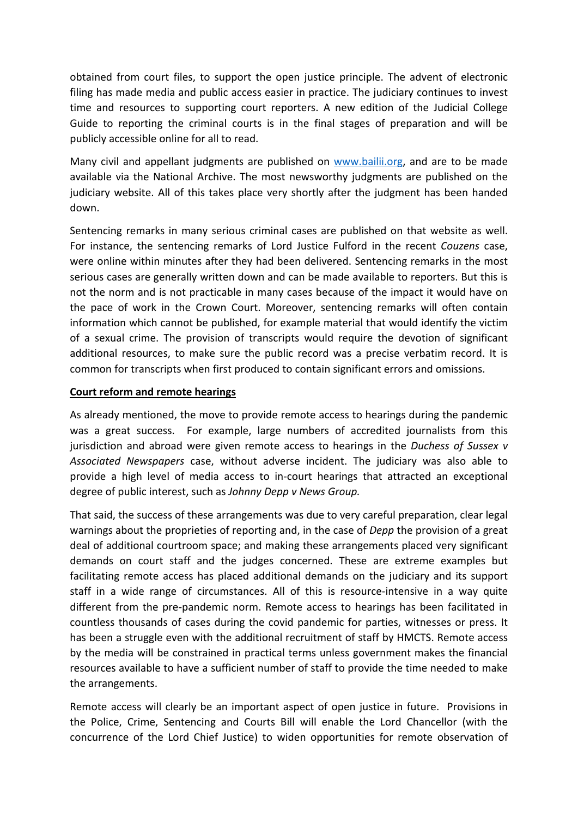obtained from court files, to support the open justice principle. The advent of electronic filing has made media and public access easier in practice. The judiciary continues to invest time and resources to supporting court reporters. A new edition of the Judicial College Guide to reporting the criminal courts is in the final stages of preparation and will be publicly accessible online for all to read.

Many civil and appellant judgments are published on [www.bailii.org,](http://www.bailii.org/) and are to be made available via the National Archive. The most newsworthy judgments are published on the judiciary website. All of this takes place very shortly after the judgment has been handed down.

Sentencing remarks in many serious criminal cases are published on that website as well. For instance, the sentencing remarks of Lord Justice Fulford in the recent *Couzens* case, were online within minutes after they had been delivered. Sentencing remarks in the most serious cases are generally written down and can be made available to reporters. But this is not the norm and is not practicable in many cases because of the impact it would have on the pace of work in the Crown Court. Moreover, sentencing remarks will often contain information which cannot be published, for example material that would identify the victim of a sexual crime. The provision of transcripts would require the devotion of significant additional resources, to make sure the public record was a precise verbatim record. It is common for transcripts when first produced to contain significant errors and omissions.

# **Court reform and remote hearings**

As already mentioned, the move to provide remote access to hearings during the pandemic was a great success. For example, large numbers of accredited journalists from this jurisdiction and abroad were given remote access to hearings in the *Duchess of Sussex v Associated Newspapers* case, without adverse incident. The judiciary was also able to provide a high level of media access to in-court hearings that attracted an exceptional degree of public interest, such as *Johnny Depp v News Group.*

That said, the success of these arrangements was due to very careful preparation, clear legal warnings about the proprieties of reporting and, in the case of *Depp* the provision of a great deal of additional courtroom space; and making these arrangements placed very significant demands on court staff and the judges concerned. These are extreme examples but facilitating remote access has placed additional demands on the judiciary and its support staff in a wide range of circumstances. All of this is resource-intensive in a way quite different from the pre-pandemic norm. Remote access to hearings has been facilitated in countless thousands of cases during the covid pandemic for parties, witnesses or press. It has been a struggle even with the additional recruitment of staff by HMCTS. Remote access by the media will be constrained in practical terms unless government makes the financial resources available to have a sufficient number of staff to provide the time needed to make the arrangements.

Remote access will clearly be an important aspect of open justice in future. Provisions in the Police, Crime, Sentencing and Courts Bill will enable the Lord Chancellor (with the concurrence of the Lord Chief Justice) to widen opportunities for remote observation of